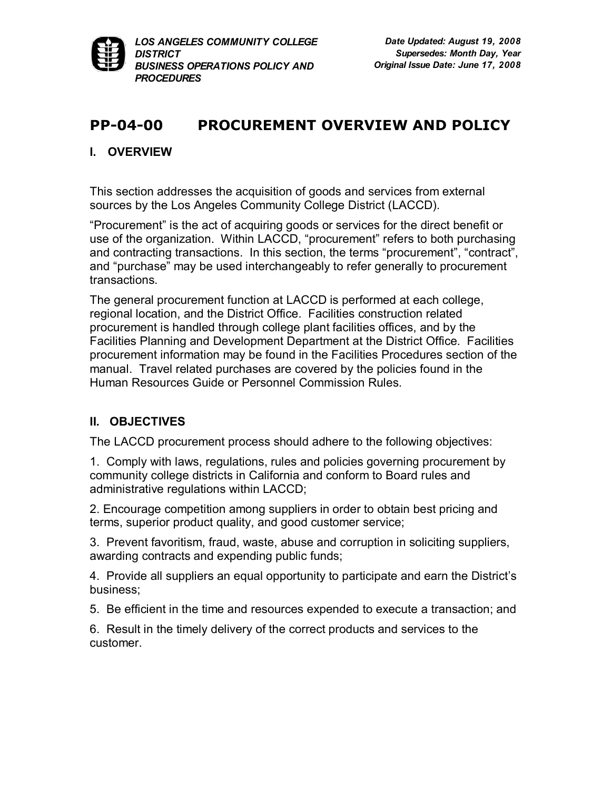

# **PP0400 PROCUREMENT OVERVIEW AND POLICY**

### **I. OVERVIEW**

This section addresses the acquisition of goods and services from external sources by the Los Angeles Community College District (LACCD).

"Procurement" is the act of acquiring goods or services for the direct benefit or use of the organization. Within LACCD, "procurement" refers to both purchasing and contracting transactions. In this section, the terms "procurement", "contract", and "purchase" may be used interchangeably to refer generally to procurement transactions.

The general procurement function at LACCD is performed at each college, regional location, and the District Office. Facilities construction related procurement is handled through college plant facilities offices, and by the Facilities Planning and Development Department at the District Office. Facilities procurement information may be found in the Facilities Procedures section of the manual. Travel related purchases are covered by the policies found in the Human Resources Guide or Personnel Commission Rules.

## **II. OBJECTIVES**

The LACCD procurement process should adhere to the following objectives:

1. Comply with laws, regulations, rules and policies governing procurement by community college districts in California and conform to Board rules and administrative regulations within LACCD;

2. Encourage competition among suppliers in order to obtain best pricing and terms, superior product quality, and good customer service;

3. Prevent favoritism, fraud, waste, abuse and corruption in soliciting suppliers, awarding contracts and expending public funds;

4. Provide all suppliers an equal opportunity to participate and earn the District's business;

5. Be efficient in the time and resources expended to execute a transaction; and

6. Result in the timely delivery of the correct products and services to the customer.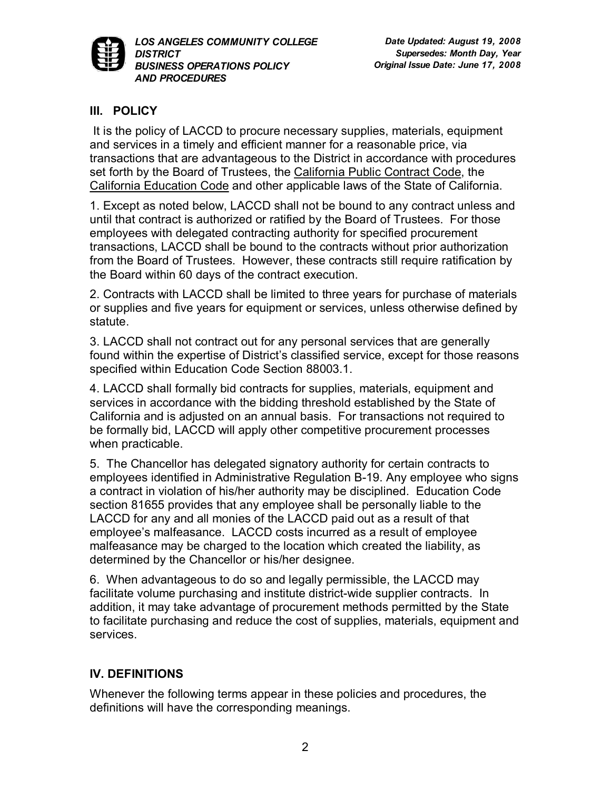

## **III. POLICY**

It is the policy of LACCD to procure necessary supplies, materials, equipment and services in a timely and efficient manner for a reasonable price, via transactions that are advantageous to the District in accordance with procedures set forth by the Board of Trustees, the [California Public Contract Code](http://www.leginfo.ca.gov/cgi-bin/calawquery?codesection=pcc&codebody=&hits=20), the [California Education Code](http://www.leginfo.ca.gov/cgi-bin/calawquery?codesection=edc&codebody=&hits=20) and other applicable laws of the State of California.

1. Except as noted below, LACCD shall not be bound to any contract unless and until that contract is authorized or ratified by the Board of Trustees. For those employees with delegated contracting authority for specified procurement transactions, LACCD shall be bound to the contracts without prior authorization from the Board of Trustees. However, these contracts still require ratification by the Board within 60 days of the contract execution.

2. Contracts with LACCD shall be limited to three years for purchase of materials or supplies and five years for equipment or services, unless otherwise defined by statute.

3. LACCD shall not contract out for any personal services that are generally found within the expertise of District's classified service, except for those reasons specified within Education Code Section 88003.1.

4. LACCD shall formally bid contracts for supplies, materials, equipment and services in accordance with the bidding threshold established by the State of California and is adjusted on an annual basis. For transactions not required to be formally bid, LACCD will apply other competitive procurement processes when practicable.

5. The Chancellor has delegated signatory authority for certain contracts to employees identified in Administrative Regulation B-19. Any employee who signs a contract in violation of his/her authority may be disciplined. Education Code section 81655 provides that any employee shall be personally liable to the LACCD for any and all monies of the LACCD paid out as a result of that employee's malfeasance. LACCD costs incurred as a result of employee malfeasance may be charged to the location which created the liability, as determined by the Chancellor or his/her designee.

6. When advantageous to do so and legally permissible, the LACCD may facilitate volume purchasing and institute district-wide supplier contracts. In addition, it may take advantage of procurement methods permitted by the State to facilitate purchasing and reduce the cost of supplies, materials, equipment and services.

## **IV. DEFINITIONS**

Whenever the following terms appear in these policies and procedures, the definitions will have the corresponding meanings.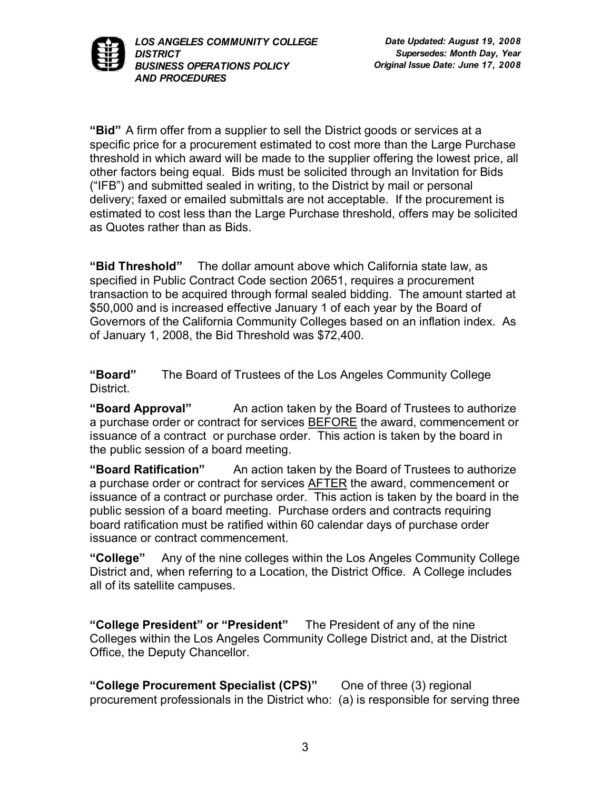

**"Bid"** A firm offer from a supplier to sell the District goods or services at a specific price for a procurement estimated to cost more than the Large Purchase threshold in which award will be made to the supplier offering the lowest price, all other factors being equal. Bids must be solicited through an Invitation for Bids ("IFB") and submitted sealed in writing, to the District by mail or personal delivery; faxed or emailed submittals are not acceptable. If the procurement is estimated to cost less than the Large Purchase threshold, offers may be solicited as Quotes rather than as Bids.

**"Bid Threshold"** The dollar amount above which California state law, as specified in Public Contract Code section 20651, requires a procurement transaction to be acquired through formal sealed bidding. The amount started at \$50,000 and is increased effective January 1 of each year by the Board of Governors of the California Community Colleges based on an inflation index. As of January 1, 2008, the Bid Threshold was \$72,400.

**"Board"** The Board of Trustees of the Los Angeles Community College District.

**"Board Approval"** An action taken by the Board of Trustees to authorize a purchase order or contract for services **BEFORE** the award, commencement or issuance of a contract or purchase order. This action is taken by the board in the public session of a board meeting.

**"Board Ratification"** An action taken by the Board of Trustees to authorize a purchase order or contract for services AFTER the award, commencement or issuance of a contract or purchase order. This action is taken by the board in the public session of a board meeting. Purchase orders and contracts requiring board ratification must be ratified within 60 calendar days of purchase order issuance or contract commencement.

**"College"** Any of the nine colleges within the Los Angeles Community College District and, when referring to a Location, the District Office. A College includes all of its satellite campuses.

**"College President" or "President"** The President of any of the nine Colleges within the Los Angeles Community College District and, at the District Office, the Deputy Chancellor.

**"College Procurement Specialist (CPS)"** One of three (3) regional procurement professionals in the District who: (a) is responsible for serving three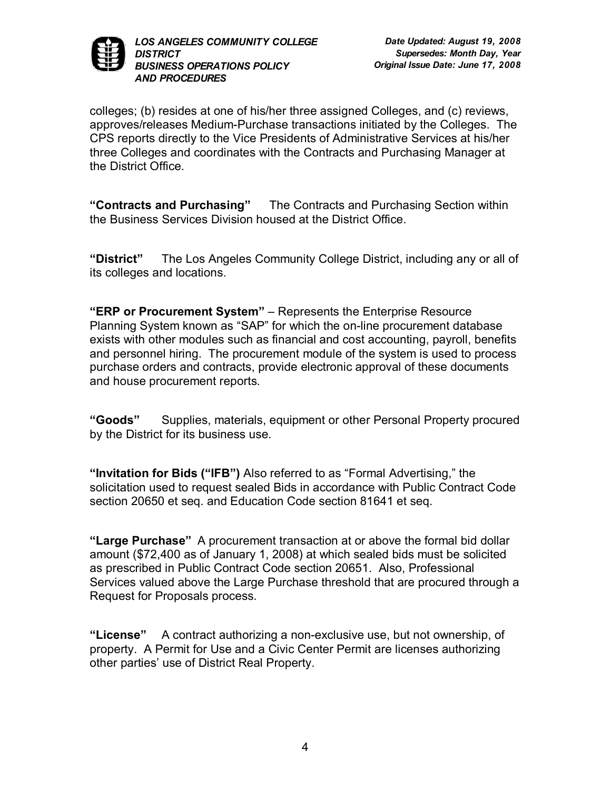

colleges; (b) resides at one of his/her three assigned Colleges, and (c) reviews, approves/releases Medium-Purchase transactions initiated by the Colleges. The CPS reports directly to the Vice Presidents of Administrative Services at his/her three Colleges and coordinates with the Contracts and Purchasing Manager at the District Office.

**"Contracts and Purchasing"** The Contracts and Purchasing Section within the Business Services Division housed at the District Office.

**"District"** The Los Angeles Community College District, including any or all of its colleges and locations.

**"ERP or Procurement System"** – Represents the Enterprise Resource Planning System known as "SAP" for which the on-line procurement database exists with other modules such as financial and cost accounting, payroll, benefits and personnel hiring. The procurement module of the system is used to process purchase orders and contracts, provide electronic approval of these documents and house procurement reports.

**"Goods"** Supplies, materials, equipment or other Personal Property procured by the District for its business use.

**"Invitation for Bids ("IFB")** Also referred to as "Formal Advertising," the solicitation used to request sealed Bids in accordance with Public Contract Code section 20650 et seq. and Education Code section 81641 et seq.

**"Large Purchase"** A procurement transaction at or above the formal bid dollar amount (\$72,400 as of January 1, 2008) at which sealed bids must be solicited as prescribed in Public Contract Code section 20651. Also, Professional Services valued above the Large Purchase threshold that are procured through a Request for Proposals process.

"License" A contract authorizing a non-exclusive use, but not ownership, of property. A Permit for Use and a Civic Center Permit are licenses authorizing other parties' use of District Real Property.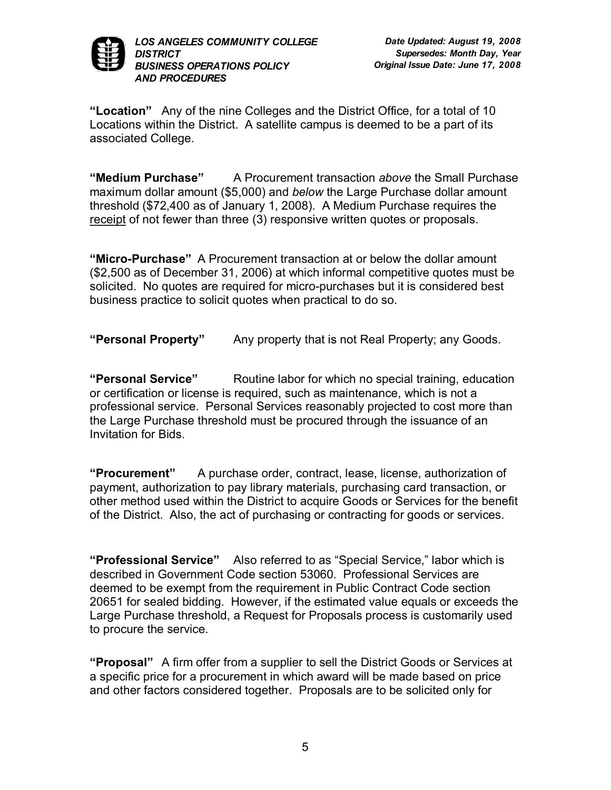

**"Location"** Any of the nine Colleges and the District Office, for a total of 10 Locations within the District. A satellite campus is deemed to be a part of its associated College.

**"Medium Purchase"** A Procurement transaction *above* the Small Purchase maximum dollar amount (\$5,000) and *below* the Large Purchase dollar amount threshold (\$72,400 as of January 1, 2008). A Medium Purchase requires the receipt of not fewer than three (3) responsive written quotes or proposals.

"Micro-Purchase" A Procurement transaction at or below the dollar amount (\$2,500 as of December 31, 2006) at which informal competitive quotes must be solicited. No quotes are required for micro-purchases but it is considered best business practice to solicit quotes when practical to do so.

**"Personal Property"** Any property that is not Real Property; any Goods.

**"Personal Service"** Routine labor for which no special training, education or certification or license is required, such as maintenance, which is not a professional service. Personal Services reasonably projected to cost more than the Large Purchase threshold must be procured through the issuance of an Invitation for Bids.

**"Procurement"** A purchase order, contract, lease, license, authorization of payment, authorization to pay library materials, purchasing card transaction, or other method used within the District to acquire Goods or Services for the benefit of the District. Also, the act of purchasing or contracting for goods or services.

**"Professional Service"** Also referred to as "Special Service," labor which is described in Government Code section 53060. Professional Services are deemed to be exempt from the requirement in Public Contract Code section 20651 for sealed bidding. However, if the estimated value equals or exceeds the Large Purchase threshold, a Request for Proposals process is customarily used to procure the service.

**"Proposal"** A firm offer from a supplier to sell the District Goods or Services at a specific price for a procurement in which award will be made based on price and other factors considered together. Proposals are to be solicited only for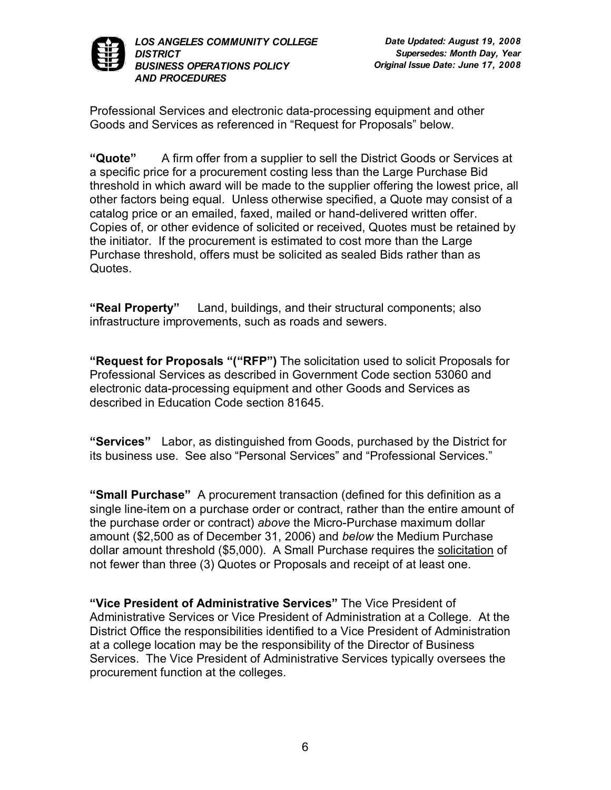

Professional Services and electronic data-processing equipment and other Goods and Services as referenced in "Request for Proposals" below.

**"Quote"** A firm offer from a supplier to sell the District Goods or Services at a specific price for a procurement costing less than the Large Purchase Bid threshold in which award will be made to the supplier offering the lowest price, all other factors being equal. Unless otherwise specified, a Quote may consist of a catalog price or an emailed, faxed, mailed or hand-delivered written offer. Copies of, or other evidence of solicited or received, Quotes must be retained by the initiator. If the procurement is estimated to cost more than the Large Purchase threshold, offers must be solicited as sealed Bids rather than as Quotes.

**"Real Property"** Land, buildings, and their structural components; also infrastructure improvements, such as roads and sewers.

**"Request for Proposals "("RFP")** The solicitation used to solicit Proposals for Professional Services as described in Government Code section 53060 and electronic data-processing equipment and other Goods and Services as described in Education Code section 81645.

**"Services"** Labor, as distinguished from Goods, purchased by the District for its business use. See also "Personal Services" and "Professional Services."

**"Small Purchase"** A procurement transaction (defined for this definition as a single line-item on a purchase order or contract, rather than the entire amount of the purchase order or contract) above the Micro-Purchase maximum dollar amount (\$2,500 as of December 31, 2006) and *below* the Medium Purchase dollar amount threshold (\$5,000). A Small Purchase requires the solicitation of not fewer than three (3) Quotes or Proposals and receipt of at least one.

**"Vice President of Administrative Services"** The Vice President of Administrative Services or Vice President of Administration at a College. At the District Office the responsibilities identified to a Vice President of Administration at a college location may be the responsibility of the Director of Business Services. The Vice President of Administrative Services typically oversees the procurement function at the colleges.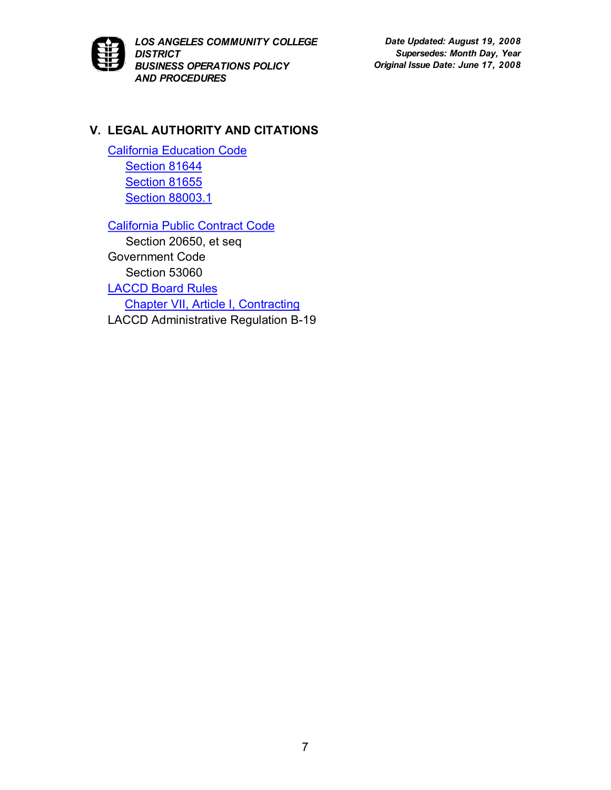

*Date Updated: August 19, 2008 Supersedes: Month Day, Year Original Issue Date: June 17, 2008*

## **V. LEGAL AUTHORITY AND CITATIONS**

[California Education Code](http://www.leginfo.ca.gov/cgi-bin/calawquery?codesection=edc&codebody=&hits=20) [Section](http://www.leginfo.ca.gov/cgi-bin/displaycode?section=edc&group=81001-82000&file=81641-81656) 81644 [Section](http://caselaw.lp.findlaw.com/cacodes/edc/81641-81656.html) 81655 Section [88003.1](http://www.leginfo.ca.gov/cgi-bin/displaycode?section=edc&group=87001-88000&file=88000-88040)

[California Public Contract Code](http://www.leginfo.ca.gov/cgi-bin/calawquery?codesection=pcc&codebody=&hits=20)

Section 20650, et seq Government Code Section 53060 [LACCD Board Rules](http://www.laccd.edu/board_rules/) [Chapter VII, Article I, Contracting](http://www.laccd.edu/board_rules/documents/Chapter%20VII/Ch.%20VII%20-%20Article%20I.doc) LACCD Administrative Regulation B-19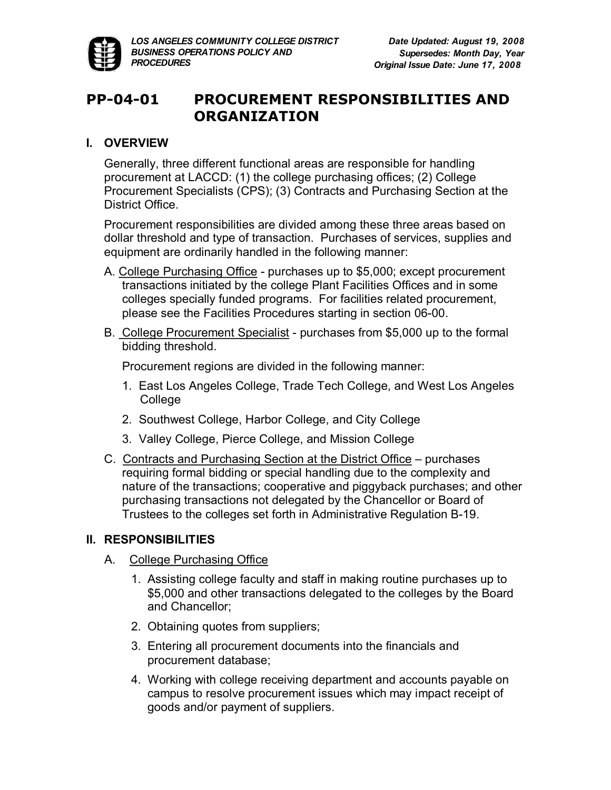

# **PP0401 PROCUREMENT RESPONSIBILITIES AND ORGANIZATION**

### **I. OVERVIEW**

Generally, three different functional areas are responsible for handling procurement at LACCD: (1) the college purchasing offices; (2) College Procurement Specialists (CPS); (3) Contracts and Purchasing Section at the District Office.

Procurement responsibilities are divided among these three areas based on dollar threshold and type of transaction. Purchases of services, supplies and equipment are ordinarily handled in the following manner:

- A. College Purchasing Office purchases up to \$5,000; except procurement transactions initiated by the college Plant Facilities Offices and in some colleges specially funded programs. For facilities related procurement, please see the Facilities Procedures starting in section 06-00.
- B. College Procurement Specialist purchases from \$5,000 up to the formal bidding threshold.

Procurement regions are divided in the following manner:

- 1. East Los Angeles College, Trade Tech College, and West Los Angeles College
- 2. Southwest College, Harbor College, and City College
- 3. Valley College, Pierce College, and Mission College
- C. Contracts and Purchasing Section at the District Office purchases requiring formal bidding or special handling due to the complexity and nature of the transactions; cooperative and piggyback purchases; and other purchasing transactions not delegated by the Chancellor or Board of Trustees to the colleges set forth in Administrative Regulation B-19.

## **II. RESPONSIBILITIES**

- A. College Purchasing Office
	- 1. Assisting college faculty and staff in making routine purchases up to \$5,000 and other transactions delegated to the colleges by the Board and Chancellor;
	- 2. Obtaining quotes from suppliers;
	- 3. Entering all procurement documents into the financials and procurement database;
	- 4. Working with college receiving department and accounts payable on campus to resolve procurement issues which may impact receipt of goods and/or payment of suppliers.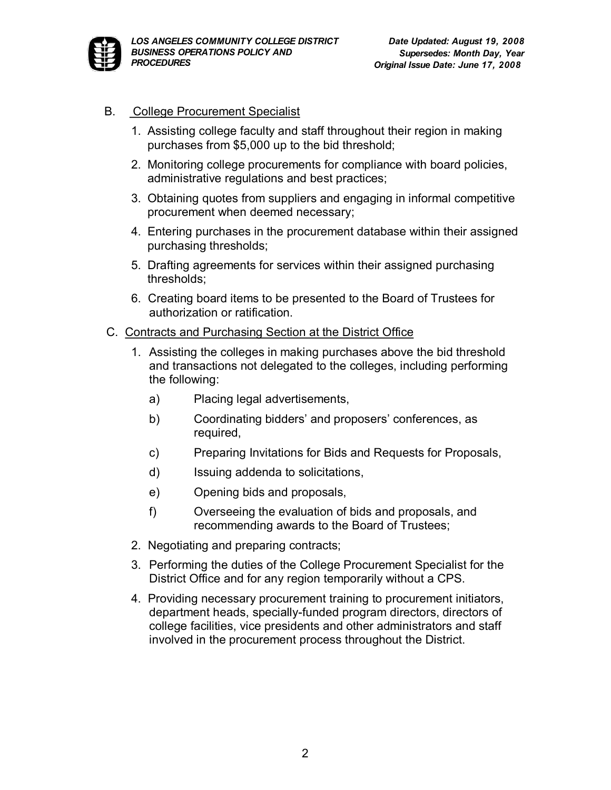

- B. College Procurement Specialist
	- 1. Assisting college faculty and staff throughout their region in making purchases from \$5,000 up to the bid threshold;
	- 2. Monitoring college procurements for compliance with board policies, administrative regulations and best practices;
	- 3. Obtaining quotes from suppliers and engaging in informal competitive procurement when deemed necessary;
	- 4. Entering purchases in the procurement database within their assigned purchasing thresholds;
	- 5. Drafting agreements for services within their assigned purchasing thresholds;
	- 6. Creating board items to be presented to the Board of Trustees for authorization or ratification.
- C. Contracts and Purchasing Section at the District Office
	- 1. Assisting the colleges in making purchases above the bid threshold and transactions not delegated to the colleges, including performing the following:
		- a) Placing legal advertisements,
		- b) Coordinating bidders' and proposers' conferences, as required,
		- c) Preparing Invitations for Bids and Requests for Proposals,
		- d) Issuing addenda to solicitations,
		- e) Opening bids and proposals,
		- f) Overseeing the evaluation of bids and proposals, and recommending awards to the Board of Trustees;
	- 2. Negotiating and preparing contracts;
	- 3. Performing the duties of the College Procurement Specialist for the District Office and for any region temporarily without a CPS.
	- 4. Providing necessary procurement training to procurement initiators, department heads, specially-funded program directors, directors of college facilities, vice presidents and other administrators and staff involved in the procurement process throughout the District.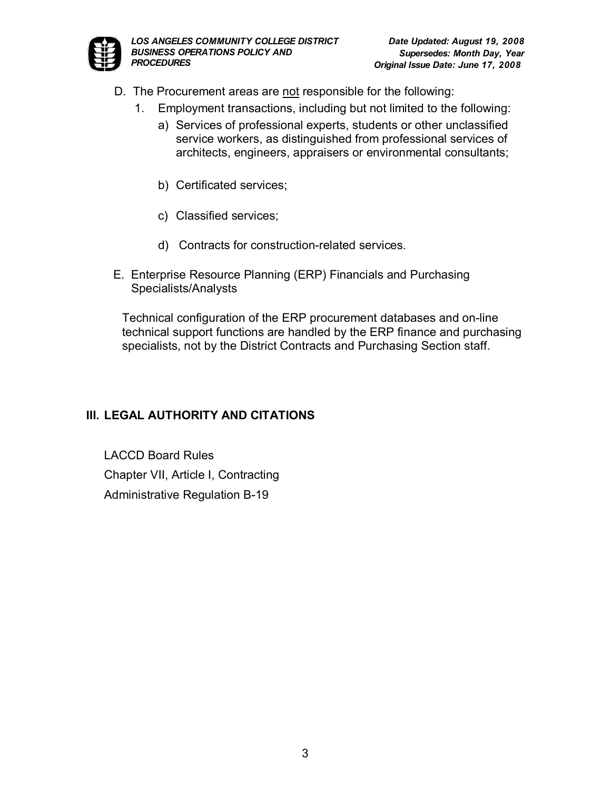

- D. The Procurement areas are not responsible for the following:
	- 1. Employment transactions, including but not limited to the following:
		- a) Services of professional experts, students or other unclassified service workers, as distinguished from professional services of architects, engineers, appraisers or environmental consultants;
		- b) Certificated services;
		- c) Classified services;
		- d) Contracts for construction-related services.
- E. Enterprise Resource Planning (ERP) Financials and Purchasing Specialists/Analysts

Technical configuration of the ERP procurement databases and on-line technical support functions are handled by the ERP finance and purchasing specialists, not by the District Contracts and Purchasing Section staff.

## **III. LEGAL AUTHORITY AND CITATIONS**

LACCD Board Rules Chapter VII, Article I, Contracting Administrative Regulation B-19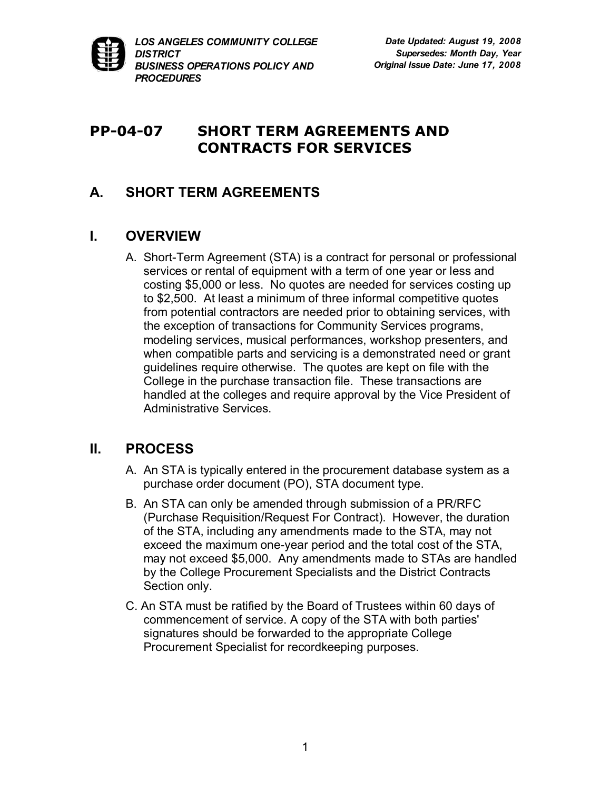

# **PP-04-07** SHORT TERM AGREEMENTS AND **CONTRACTS FOR SERVICES**

## **A. SHORT TERM AGREEMENTS**

## **I. OVERVIEW**

A. Short-Term Agreement (STA) is a contract for personal or professional services or rental of equipment with a term of one year or less and costing \$5,000 or less. No quotes are needed for services costing up to \$2,500. At least a minimum of three informal competitive quotes from potential contractors are needed prior to obtaining services, with the exception of transactions for Community Services programs, modeling services, musical performances, workshop presenters, and when compatible parts and servicing is a demonstrated need or grant guidelines require otherwise. The quotes are kept on file with the College in the purchase transaction file. These transactions are handled at the colleges and require approval by the Vice President of Administrative Services.

## **II. PROCESS**

- A. An STA is typically entered in the procurement database system as a purchase order document (PO), STA document type.
- B. An STA can only be amended through submission of a PR/RFC (Purchase Requisition/Request For Contract). However, the duration of the STA, including any amendments made to the STA, may not exceed the maximum one-year period and the total cost of the STA, may not exceed \$5,000. Any amendments made to STAs are handled by the College Procurement Specialists and the District Contracts Section only.
- C. An STA must be ratified by the Board of Trustees within 60 days of commencement of service. A copy of the STA with both parties' signatures should be forwarded to the appropriate College Procurement Specialist for recordkeeping purposes.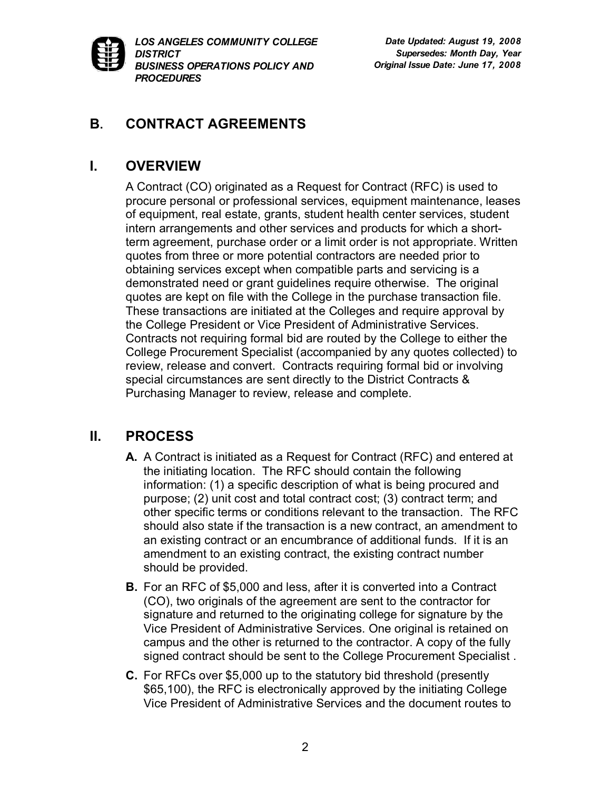

## **B. CONTRACT AGREEMENTS**

## **I. OVERVIEW**

A Contract (CO) originated as a Request for Contract (RFC) is used to procure personal or professional services, equipment maintenance, leases of equipment, real estate, grants, student health center services, student intern arrangements and other services and products for which a shortterm agreement, purchase order or a limit order is not appropriate. Written quotes from three or more potential contractors are needed prior to obtaining services except when compatible parts and servicing is a demonstrated need or grant guidelines require otherwise. The original quotes are kept on file with the College in the purchase transaction file. These transactions are initiated at the Colleges and require approval by the College President or Vice President of Administrative Services. Contracts not requiring formal bid are routed by the College to either the College Procurement Specialist (accompanied by any quotes collected) to review, release and convert. Contracts requiring formal bid or involving special circumstances are sent directly to the District Contracts & Purchasing Manager to review, release and complete.

## **II. PROCESS**

- **A.** A Contract is initiated as a Request for Contract (RFC) and entered at the initiating location. The RFC should contain the following information: (1) a specific description of what is being procured and purpose; (2) unit cost and total contract cost; (3) contract term; and other specific terms or conditions relevant to the transaction. The RFC should also state if the transaction is a new contract, an amendment to an existing contract or an encumbrance of additional funds. If it is an amendment to an existing contract, the existing contract number should be provided.
- **B.** For an RFC of \$5,000 and less, after it is converted into a Contract (CO), two originals of the agreement are sent to the contractor for signature and returned to the originating college for signature by the Vice President of Administrative Services. One original is retained on campus and the other is returned to the contractor. A copy of the fully signed contract should be sent to the College Procurement Specialist .
- **C.** For RFCs over \$5,000 up to the statutory bid threshold (presently \$65,100), the RFC is electronically approved by the initiating College Vice President of Administrative Services and the document routes to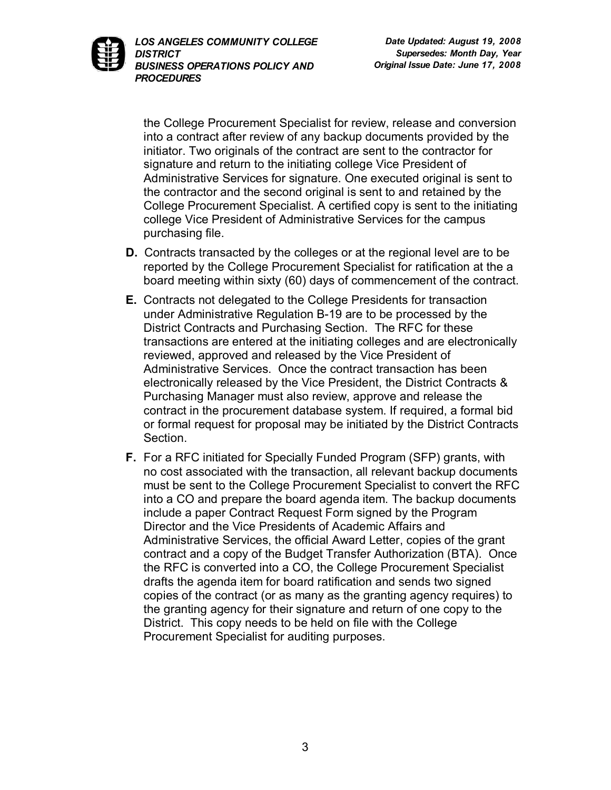

the College Procurement Specialist for review, release and conversion into a contract after review of any backup documents provided by the initiator. Two originals of the contract are sent to the contractor for signature and return to the initiating college Vice President of Administrative Services for signature. One executed original is sent to the contractor and the second original is sent to and retained by the College Procurement Specialist. A certified copy is sent to the initiating college Vice President of Administrative Services for the campus purchasing file.

- **D.** Contracts transacted by the colleges or at the regional level are to be reported by the College Procurement Specialist for ratification at the a board meeting within sixty (60) days of commencement of the contract.
- **E.** Contracts not delegated to the College Presidents for transaction under Administrative Regulation B-19 are to be processed by the District Contracts and Purchasing Section. The RFC for these transactions are entered at the initiating colleges and are electronically reviewed, approved and released by the Vice President of Administrative Services. Once the contract transaction has been electronically released by the Vice President, the District Contracts & Purchasing Manager must also review, approve and release the contract in the procurement database system. If required, a formal bid or formal request for proposal may be initiated by the District Contracts Section.
- **F.** For a RFC initiated for Specially Funded Program (SFP) grants, with no cost associated with the transaction, all relevant backup documents must be sent to the College Procurement Specialist to convert the RFC into a CO and prepare the board agenda item. The backup documents include a paper Contract Request Form signed by the Program Director and the Vice Presidents of Academic Affairs and Administrative Services, the official Award Letter, copies of the grant contract and a copy of the Budget Transfer Authorization (BTA). Once the RFC is converted into a CO, the College Procurement Specialist drafts the agenda item for board ratification and sends two signed copies of the contract (or as many as the granting agency requires) to the granting agency for their signature and return of one copy to the District. This copy needs to be held on file with the College Procurement Specialist for auditing purposes.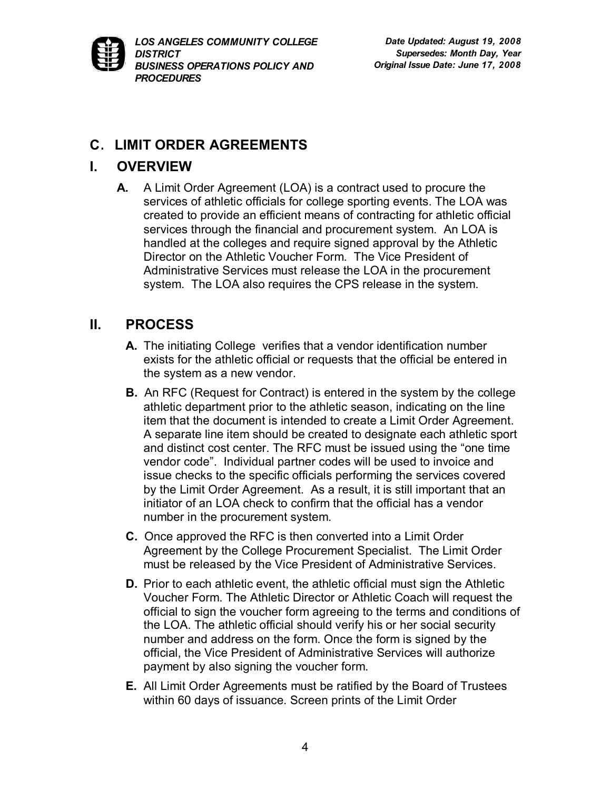

# **C**. **LIMIT ORDER AGREEMENTS**

## **I. OVERVIEW**

**A.** A Limit Order Agreement (LOA) is a contract used to procure the services of athletic officials for college sporting events. The LOA was created to provide an efficient means of contracting for athletic official services through the financial and procurement system. An LOA is handled at the colleges and require signed approval by the Athletic Director on the Athletic Voucher Form. The Vice President of Administrative Services must release the LOA in the procurement system. The LOA also requires the CPS release in the system.

# **II. PROCESS**

- **A.** The initiating College verifies that a vendor identification number exists for the athletic official or requests that the official be entered in the system as a new vendor.
- **B.** An RFC (Request for Contract) is entered in the system by the college athletic department prior to the athletic season, indicating on the line item that the document is intended to create a Limit Order Agreement. A separate line item should be created to designate each athletic sport and distinct cost center. The RFC must be issued using the "one time vendor code". Individual partner codes will be used to invoice and issue checks to the specific officials performing the services covered by the Limit Order Agreement. As a result, it is still important that an initiator of an LOA check to confirm that the official has a vendor number in the procurement system.
- **C.** Once approved the RFC is then converted into a Limit Order Agreement by the College Procurement Specialist. The Limit Order must be released by the Vice President of Administrative Services.
- **D.** Prior to each athletic event, the athletic official must sign the Athletic Voucher Form. The Athletic Director or Athletic Coach will request the official to sign the voucher form agreeing to the terms and conditions of the LOA. The athletic official should verify his or her social security number and address on the form. Once the form is signed by the official, the Vice President of Administrative Services will authorize payment by also signing the voucher form.
- **E.** All Limit Order Agreements must be ratified by the Board of Trustees within 60 days of issuance. Screen prints of the Limit Order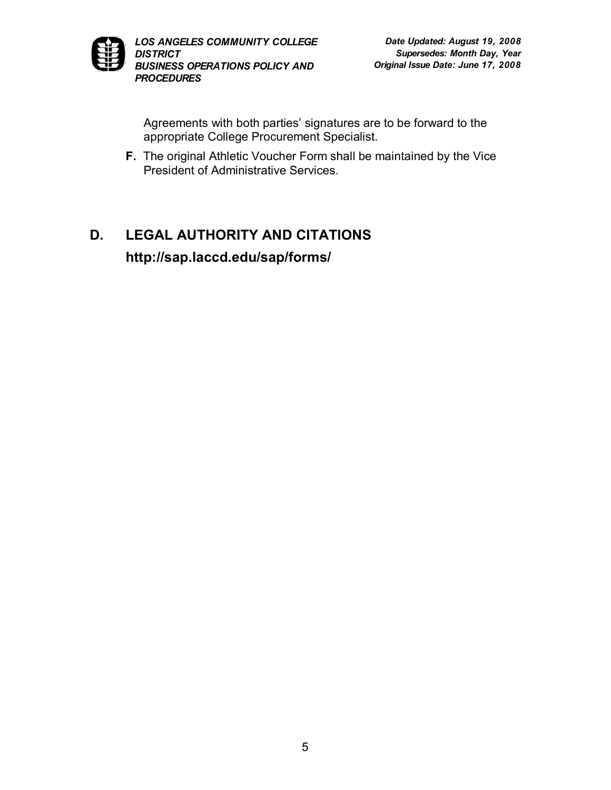

Agreements with both parties' signatures are to be forward to the appropriate College Procurement Specialist.

**F.** The original Athletic Voucher Form shall be maintained by the Vice President of Administrative Services.

# **D. LEGAL AUTHORITY AND CITATIONS http://sap.laccd.edu/sap/forms/**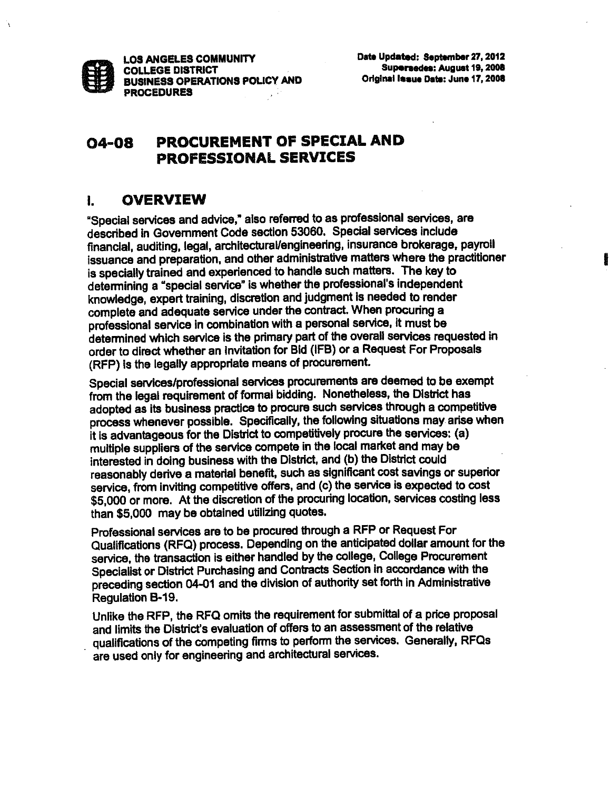

#### PROCUREMENT OF SPECIAL AND **04-08 PROFESSIONAL SERVICES**

#### **OVERVIEW**  $\mathbf{L}$

"Special services and advice," also referred to as professional services, are described in Government Code section 53060. Special services include financial, auditing, legal, architectural/engineering, insurance brokerage, payroll issuance and preparation, and other administrative matters where the practitioner is specially trained and experienced to handle such matters. The key to determining a "special service" is whether the professional's independent knowledge, expert training, discretion and judgment is needed to render complete and adequate service under the contract. When procuring a professional service in combination with a personal service, it must be determined which service is the primary part of the overall services requested in order to direct whether an Invitation for Bid (IFB) or a Request For Proposals (RFP) is the legally appropriate means of procurement.

Special services/professional services procurements are deemed to be exempt from the legal requirement of formal bidding. Nonetheless, the District has adopted as its business practice to procure such services through a competitive process whenever possible. Specifically, the following situations may arise when it is advantageous for the District to competitively procure the services: (a) multiple suppliers of the service compete in the local market and may be interested in doing business with the District, and (b) the District could reasonably derive a material benefit, such as significant cost savings or superior service, from inviting competitive offers, and (c) the service is expected to cost \$5,000 or more. At the discretion of the procuring location, services costing less than \$5,000 may be obtained utilizing quotes.

Professional services are to be procured through a RFP or Request For Qualifications (RFQ) process. Depending on the anticipated dollar amount for the service, the transaction is either handled by the college, College Procurement Specialist or District Purchasing and Contracts Section in accordance with the preceding section 04-01 and the division of authority set forth in Administrative Requlation B-19.

Unlike the RFP, the RFQ omits the requirement for submittal of a price proposal and limits the District's evaluation of offers to an assessment of the relative qualifications of the competing firms to perform the services. Generally, RFQs are used only for engineering and architectural services.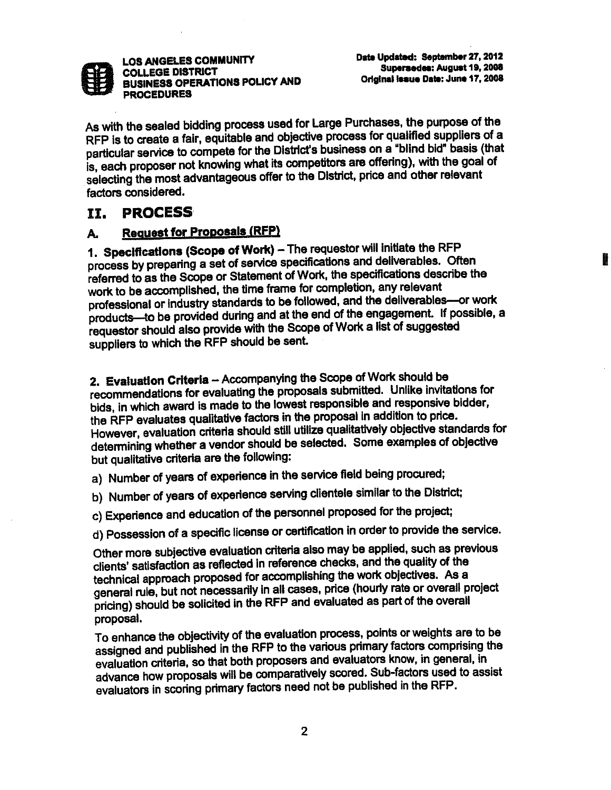

Date Updated: September 27, 2012 Supersedes: August 19, 2008 Original Issue Date: June 17, 2008

As with the sealed bidding process used for Large Purchases, the purpose of the RFP is to create a fair, equitable and objective process for qualified suppliers of a particular service to compete for the District's business on a "blind bid" basis (that is, each proposer not knowing what its competitors are offering), with the goal of selecting the most advantageous offer to the District, price and other relevant factors considered.

#### **PROCESS** II.

#### **Request for Proposals (RFP)** А.

1. Specifications (Scope of Work) - The requestor will initiate the RFP process by preparing a set of service specifications and deliverables. Often referred to as the Scope or Statement of Work, the specifications describe the work to be accomplished, the time frame for completion, any relevant professional or industry standards to be followed, and the deliverables-or work products-to be provided during and at the end of the engagement. If possible, a requestor should also provide with the Scope of Work a list of suggested suppliers to which the RFP should be sent.

2. Evaluation Criteria - Accompanying the Scope of Work should be recommendations for evaluating the proposals submitted. Unlike invitations for bids, in which award is made to the lowest responsible and responsive bidder, the RFP evaluates qualitative factors in the proposal in addition to price. However, evaluation criteria should still utilize qualitatively objective standards for determining whether a vendor should be selected. Some examples of objective but qualitative criteria are the following:

a) Number of years of experience in the service field being procured;

- b) Number of years of experience serving clientele similar to the District:
- c) Experience and education of the personnel proposed for the project;
- d) Possession of a specific license or certification in order to provide the service.

Other more subjective evaluation criteria also may be applied, such as previous clients' satisfaction as reflected in reference checks, and the quality of the technical approach proposed for accomplishing the work objectives. As a general rule, but not necessarily in all cases, price (hourly rate or overall project pricing) should be solicited in the RFP and evaluated as part of the overall proposal.

To enhance the objectivity of the evaluation process, points or weights are to be assigned and published in the RFP to the various primary factors comprising the evaluation criteria, so that both proposers and evaluators know, in general, in advance how proposals will be comparatively scored. Sub-factors used to assist evaluators in scoring primary factors need not be published in the RFP.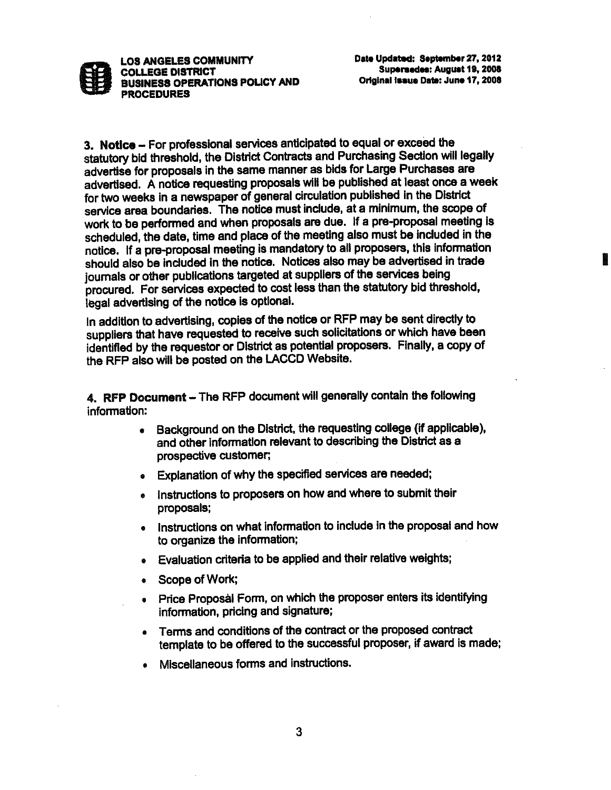

3. Notice - For professional services anticipated to equal or exceed the statutory bid threshold, the District Contracts and Purchasing Section will legally advertise for proposals in the same manner as bids for Large Purchases are advertised. A notice requesting proposals will be published at least once a week for two weeks in a newspaper of general circulation published in the District service area boundaries. The notice must include, at a minimum, the scope of work to be performed and when proposals are due. If a pre-proposal meeting is scheduled, the date, time and place of the meeting also must be included in the notice. If a pre-proposal meeting is mandatory to all proposers, this information should also be included in the notice. Notices also may be advertised in trade journals or other publications targeted at suppliers of the services being procured. For services expected to cost less than the statutory bid threshold. legal advertising of the notice is optional.

In addition to advertising, copies of the notice or RFP may be sent directly to suppliers that have requested to receive such solicitations or which have been identified by the requestor or District as potential proposers. Finally, a copy of the RFP also will be posted on the LACCD Website.

4. RFP Document - The RFP document will generally contain the following information:

- Background on the District, the requesting college (if applicable).  $\bullet$ and other information relevant to describing the District as a prospective customer;
- Explanation of why the specified services are needed;
- . Instructions to proposers on how and where to submit their proposals;
- . Instructions on what information to include in the proposal and how to organize the information;
- . Evaluation criteria to be applied and their relative weights:
- Scope of Work;
- Price Proposal Form, on which the proposer enters its identifying information, pricing and signature;
- Terms and conditions of the contract or the proposed contract template to be offered to the successful proposer, if award is made:
- Miscellaneous forms and instructions.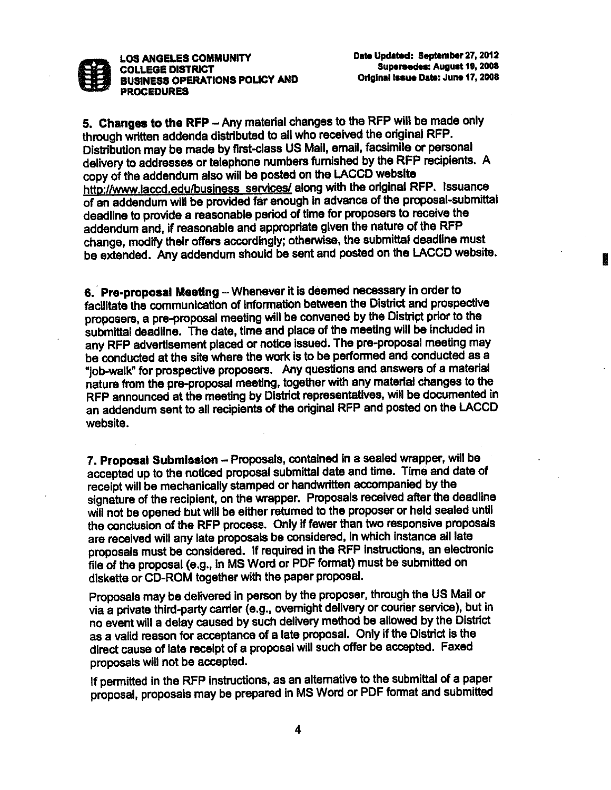

5. Changes to the RFP - Any material changes to the RFP will be made only through written addenda distributed to all who received the original RFP. Distribution may be made by first-class US Mail, email, facsimile or personal delivery to addresses or telephone numbers furnished by the RFP recipients. A copy of the addendum also will be posted on the LACCD website http://www.laccd.edu/business\_services/ along with the original RFP. Issuance of an addendum will be provided far enough in advance of the proposal-submittal deadline to provide a reasonable period of time for proposers to receive the addendum and, if reasonable and appropriate given the nature of the RFP change, modify their offers accordingly; otherwise, the submittal deadline must be extended. Any addendum should be sent and posted on the LACCD website.

6. Pre-proposal Meeting - Whenever it is deemed necessary in order to facilitate the communication of information between the District and prospective proposers, a pre-proposal meeting will be convened by the District prior to the submittal deadline. The date, time and place of the meeting will be included in any RFP advertisement placed or notice issued. The pre-proposal meeting may be conducted at the site where the work is to be performed and conducted as a "job-walk" for prospective proposers. Any questions and answers of a material nature from the pre-proposal meeting, together with any material changes to the RFP announced at the meeting by District representatives, will be documented in an addendum sent to all recipients of the original RFP and posted on the LACCD website.

7. Proposal Submission - Proposals, contained in a sealed wrapper, will be accepted up to the noticed proposal submittal date and time. Time and date of receipt will be mechanically stamped or handwritten accompanied by the signature of the recipient, on the wrapper. Proposals received after the deadline will not be opened but will be either returned to the proposer or held sealed until the conclusion of the RFP process. Only if fewer than two responsive proposals are received will any late proposals be considered, in which instance all late proposals must be considered. If required in the RFP instructions, an electronic file of the proposal (e.g., in MS Word or PDF format) must be submitted on diskette or CD-ROM together with the paper proposal.

Proposals may be delivered in person by the proposer, through the US Mail or via a private third-party carrier (e.g., overnight delivery or courier service), but in no event will a delay caused by such delivery method be allowed by the District as a valid reason for acceptance of a late proposal. Only if the District is the direct cause of late receipt of a proposal will such offer be accepted. Faxed proposals will not be accepted.

If permitted in the RFP instructions, as an alternative to the submittal of a paper proposal, proposals may be prepared in MS Word or PDF format and submitted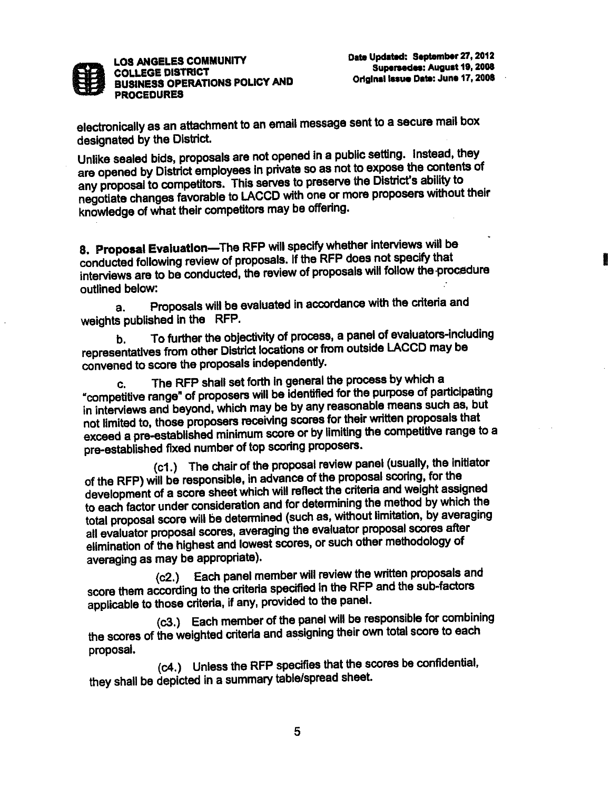

electronically as an attachment to an email message sent to a secure mail box designated by the District.

Unlike sealed bids, proposals are not opened in a public setting. Instead, they are opened by District employees in private so as not to expose the contents of any proposal to competitors. This serves to preserve the District's ability to negotiate changes favorable to LACCD with one or more proposers without their knowledge of what their competitors may be offering.

8. Proposal Evaluation-The RFP will specify whether interviews will be conducted following review of proposals. If the RFP does not specify that interviews are to be conducted, the review of proposals will follow the procedure outlined below:

Proposals will be evaluated in accordance with the criteria and a. weights published in the RFP.

To further the objectivity of process, a panel of evaluators-including b. representatives from other District locations or from outside LACCD may be convened to score the proposals independently.

The RFP shall set forth in general the process by which a C. "competitive range" of proposers will be identified for the purpose of participating in interviews and beyond, which may be by any reasonable means such as, but not limited to, those proposers receiving scores for their written proposals that exceed a pre-established minimum score or by limiting the competitive range to a pre-established fixed number of top scoring proposers.

(c1.) The chair of the proposal review panel (usually, the initiator of the RFP) will be responsible, in advance of the proposal scoring, for the development of a score sheet which will reflect the criteria and weight assigned to each factor under consideration and for determining the method by which the total proposal score will be determined (such as, without limitation, by averaging all evaluator proposal scores, averaging the evaluator proposal scores after elimination of the highest and lowest scores, or such other methodology of averaging as may be appropriate).

Each panel member will review the written proposals and  $(c2.)$ score them according to the criteria specified in the RFP and the sub-factors applicable to those criteria, if any, provided to the panel.

(c3.) Each member of the panel will be responsible for combining the scores of the weighted criteria and assigning their own total score to each proposal.

(c4.) Unless the RFP specifies that the scores be confidential, they shall be depicted in a summary table/spread sheet.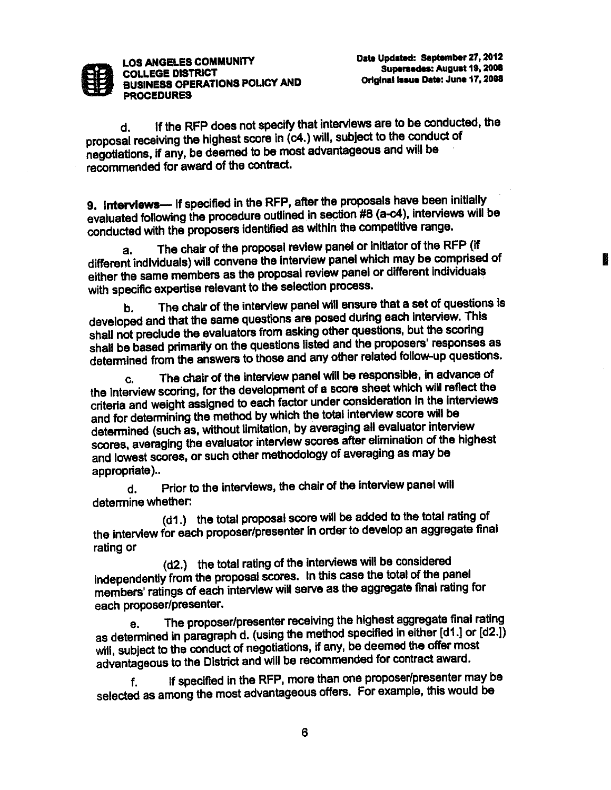

If the RFP does not specify that interviews are to be conducted, the d. proposal receiving the highest score in (c4.) will, subject to the conduct of negotiations, if any, be deemed to be most advantageous and will be recommended for award of the contract.

9. Interviews-If specified in the RFP, after the proposals have been initially evaluated following the procedure outlined in section #8 (a-c4), interviews will be conducted with the proposers identified as within the competitive range.

The chair of the proposal review panel or initiator of the RFP (if a. different individuals) will convene the interview panel which may be comprised of either the same members as the proposal review panel or different individuals with specific expertise relevant to the selection process.

The chair of the interview panel will ensure that a set of questions is b. developed and that the same questions are posed during each interview. This shall not preclude the evaluators from asking other questions, but the scoring shall be based primarily on the questions listed and the proposers' responses as determined from the answers to those and any other related follow-up questions.

The chair of the interview panel will be responsible, in advance of C. the interview scoring, for the development of a score sheet which will reflect the criteria and weight assigned to each factor under consideration in the interviews and for determining the method by which the total interview score will be determined (such as, without limitation, by averaging all evaluator interview scores, averaging the evaluator interview scores after elimination of the highest and lowest scores, or such other methodology of averaging as may be appropriate)..

Prior to the interviews, the chair of the interview panel will d. determine whether:

(d1.) the total proposal score will be added to the total rating of the interview for each proposer/presenter in order to develop an aggregate final rating or

(d2.) the total rating of the interviews will be considered independently from the proposal scores. In this case the total of the panel members' ratings of each interview will serve as the aggregate final rating for each proposer/presenter.

The proposer/presenter receiving the highest aggregate final rating А. as determined in paragraph d. (using the method specified in either [d1.] or [d2.]) will, subject to the conduct of negotiations, if any, be deemed the offer most advantageous to the District and will be recommended for contract award.

If specified in the RFP, more than one proposer/presenter may be f. selected as among the most advantageous offers. For example, this would be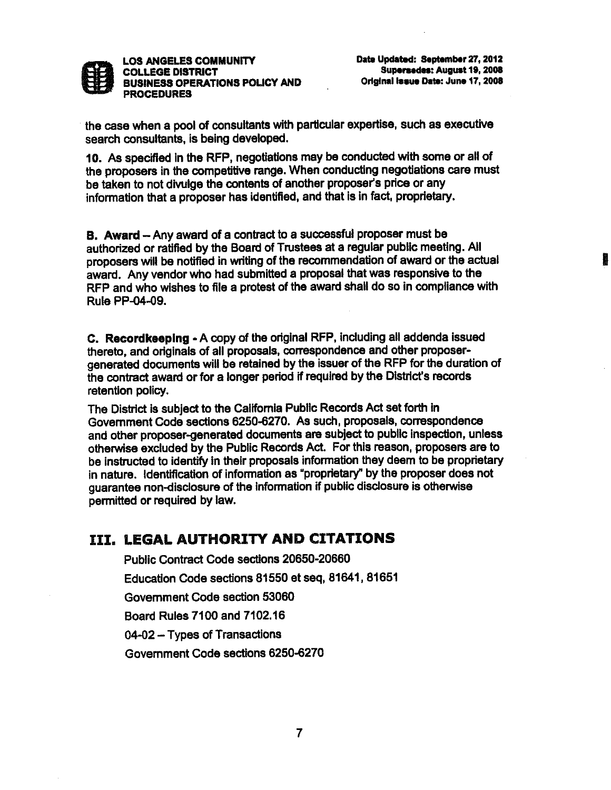

the case when a pool of consultants with particular expertise, such as executive search consultants, is being developed.

10. As specified in the RFP, negotiations may be conducted with some or all of the proposers in the competitive range. When conducting negotiations care must be taken to not divulge the contents of another proposer's price or any information that a proposer has identified, and that is in fact, proprietary.

B. Award - Any award of a contract to a successful proposer must be authorized or ratified by the Board of Trustees at a regular public meeting. All proposers will be notified in writing of the recommendation of award or the actual award. Any vendor who had submitted a proposal that was responsive to the RFP and who wishes to file a protest of the award shall do so in compliance with Rule PP-04-09.

C. Recordkeeping - A copy of the original RFP, including all addenda issued thereto, and originals of all proposals, correspondence and other proposergenerated documents will be retained by the issuer of the RFP for the duration of the contract award or for a longer period if required by the District's records retention policy.

The District is subject to the California Public Records Act set forth in Government Code sections 6250-6270. As such, proposals, correspondence and other proposer-generated documents are subject to public inspection, unless otherwise excluded by the Public Records Act. For this reason, proposers are to be instructed to identify in their proposals information they deem to be proprietary in nature. Identification of information as "proprietary" by the proposer does not quarantee non-disclosure of the information if public disclosure is otherwise permitted or required by law.

## III. LEGAL AUTHORITY AND CITATIONS

Public Contract Code sections 20650-20660 Education Code sections 81550 et seq, 81641, 81651 Government Code section 53060 Board Rules 7100 and 7102.16 04-02 - Types of Transactions Government Code sections 6250-6270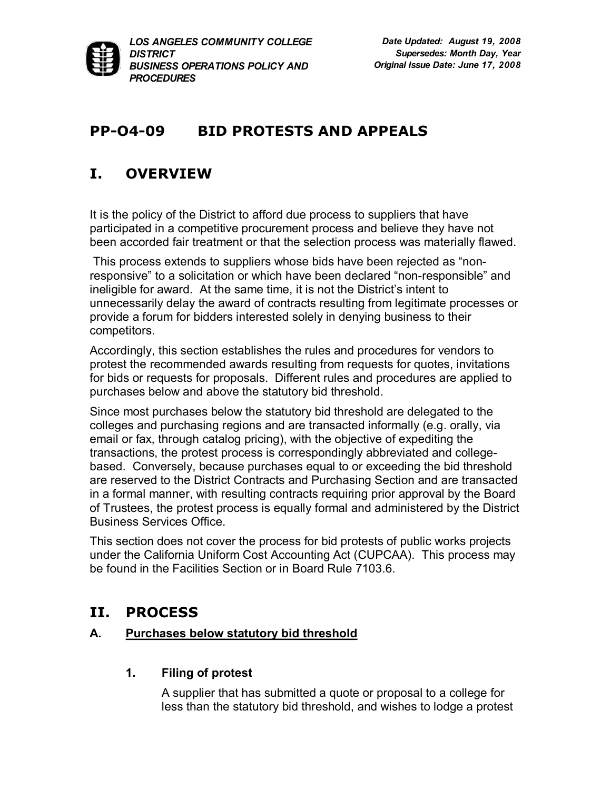

# **PP-04-09 BID PROTESTS AND APPEALS**

# **I. OVERVIEW**

It is the policy of the District to afford due process to suppliers that have participated in a competitive procurement process and believe they have not been accorded fair treatment or that the selection process was materially flawed.

This process extends to suppliers whose bids have been rejected as "nonresponsive" to a solicitation or which have been declared "non-responsible" and ineligible for award. At the same time, it is not the District's intent to unnecessarily delay the award of contracts resulting from legitimate processes or provide a forum for bidders interested solely in denying business to their competitors.

Accordingly, this section establishes the rules and procedures for vendors to protest the recommended awards resulting from requests for quotes, invitations for bids or requests for proposals. Different rules and procedures are applied to purchases below and above the statutory bid threshold.

Since most purchases below the statutory bid threshold are delegated to the colleges and purchasing regions and are transacted informally (e.g. orally, via email or fax, through catalog pricing), with the objective of expediting the transactions, the protest process is correspondingly abbreviated and collegebased. Conversely, because purchases equal to or exceeding the bid threshold are reserved to the District Contracts and Purchasing Section and are transacted in a formal manner, with resulting contracts requiring prior approval by the Board of Trustees, the protest process is equally formal and administered by the District Business Services Office.

This section does not cover the process for bid protests of public works projects under the California Uniform Cost Accounting Act (CUPCAA). This process may be found in the Facilities Section or in Board Rule 7103.6.

# **II. PROCESS**

## **A. Purchases below statutory bid threshold**

## **1. Filing of protest**

A supplier that has submitted a quote or proposal to a college for less than the statutory bid threshold, and wishes to lodge a protest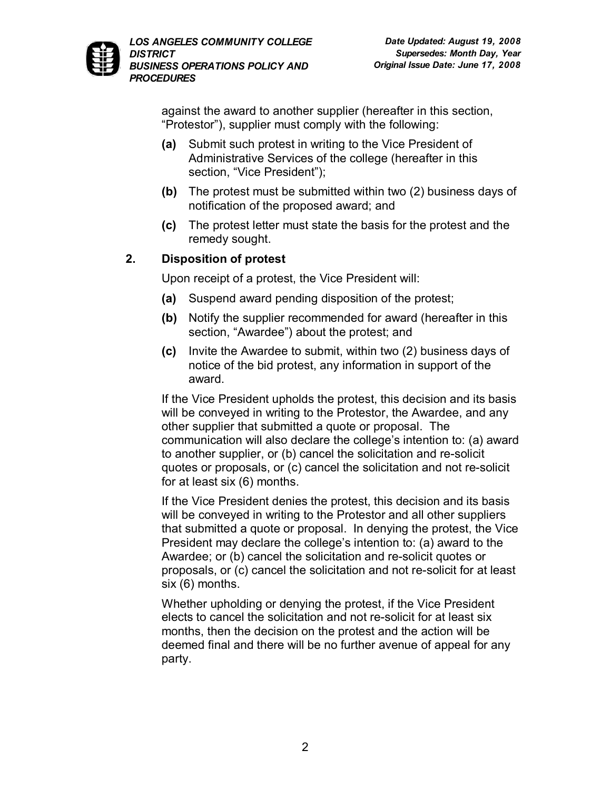

against the award to another supplier (hereafter in this section, "Protestor"), supplier must comply with the following:

- **(a)** Submit such protest in writing to the Vice President of Administrative Services of the college (hereafter in this section, "Vice President");
- **(b)** The protest must be submitted within two (2) business days of notification of the proposed award; and
- **(c)** The protest letter must state the basis for the protest and the remedy sought.

## **2. Disposition of protest**

Upon receipt of a protest, the Vice President will:

- **(a)** Suspend award pending disposition of the protest;
- **(b)** Notify the supplier recommended for award (hereafter in this section, "Awardee") about the protest; and
- **(c)** Invite the Awardee to submit, within two (2) business days of notice of the bid protest, any information in support of the award.

If the Vice President upholds the protest, this decision and its basis will be conveyed in writing to the Protestor, the Awardee, and any other supplier that submitted a quote or proposal. The communication will also declare the college's intention to: (a) award to another supplier, or (b) cancel the solicitation and re-solicit quotes or proposals, or (c) cancel the solicitation and not re-solicit for at least six (6) months.

If the Vice President denies the protest, this decision and its basis will be conveyed in writing to the Protestor and all other suppliers that submitted a quote or proposal. In denying the protest, the Vice President may declare the college's intention to: (a) award to the Awardee; or (b) cancel the solicitation and re-solicit quotes or proposals, or (c) cancel the solicitation and not re-solicit for at least six (6) months.

Whether upholding or denying the protest, if the Vice President elects to cancel the solicitation and not re-solicit for at least six months, then the decision on the protest and the action will be deemed final and there will be no further avenue of appeal for any party.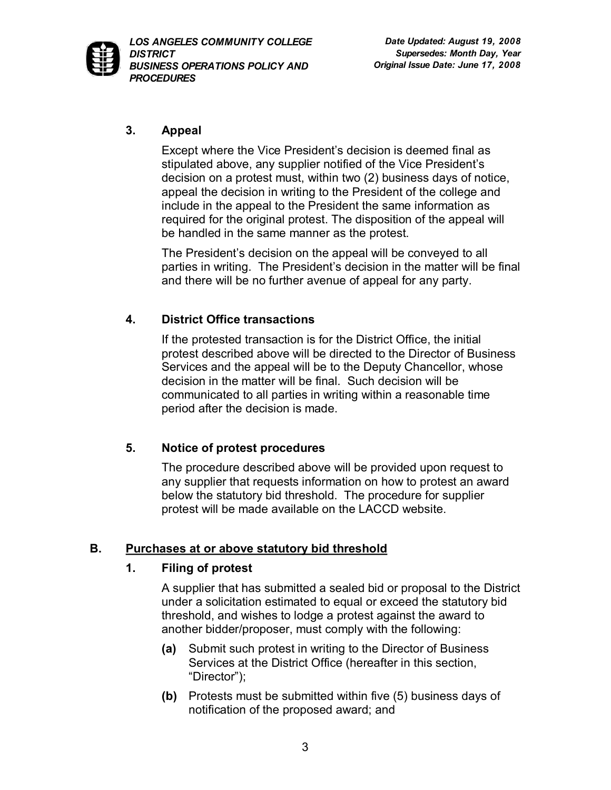

### **3. Appeal**

Except where the Vice President's decision is deemed final as stipulated above, any supplier notified of the Vice President's decision on a protest must, within two (2) business days of notice, appeal the decision in writing to the President of the college and include in the appeal to the President the same information as required for the original protest. The disposition of the appeal will be handled in the same manner as the protest.

The President's decision on the appeal will be conveyed to all parties in writing. The President's decision in the matter will be final and there will be no further avenue of appeal for any party.

## **4. District Office transactions**

If the protested transaction is for the District Office, the initial protest described above will be directed to the Director of Business Services and the appeal will be to the Deputy Chancellor, whose decision in the matter will be final. Such decision will be communicated to all parties in writing within a reasonable time period after the decision is made.

## **5. Notice of protest procedures**

The procedure described above will be provided upon request to any supplier that requests information on how to protest an award below the statutory bid threshold. The procedure for supplier protest will be made available on the LACCD website.

## **B. Purchases at or above statutory bid threshold**

### **1. Filing of protest**

A supplier that has submitted a sealed bid or proposal to the District under a solicitation estimated to equal or exceed the statutory bid threshold, and wishes to lodge a protest against the award to another bidder/proposer, must comply with the following:

- **(a)** Submit such protest in writing to the Director of Business Services at the District Office (hereafter in this section, "Director");
- **(b)** Protests must be submitted within five (5) business days of notification of the proposed award; and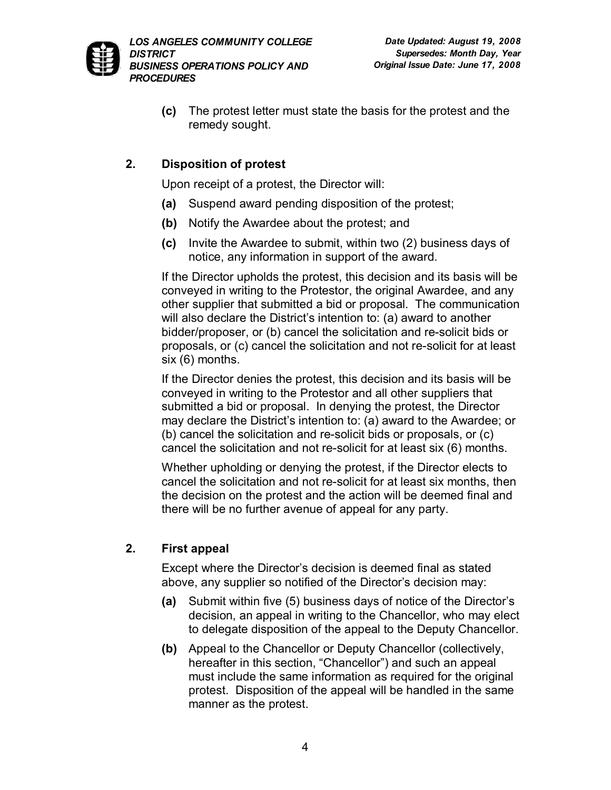

**(c)** The protest letter must state the basis for the protest and the remedy sought.

## **2. Disposition of protest**

Upon receipt of a protest, the Director will:

- **(a)** Suspend award pending disposition of the protest;
- **(b)** Notify the Awardee about the protest; and
- **(c)** Invite the Awardee to submit, within two (2) business days of notice, any information in support of the award.

If the Director upholds the protest, this decision and its basis will be conveyed in writing to the Protestor, the original Awardee, and any other supplier that submitted a bid or proposal. The communication will also declare the District's intention to: (a) award to another bidder/proposer, or (b) cancel the solicitation and re-solicit bids or proposals, or (c) cancel the solicitation and not re-solicit for at least six (6) months.

If the Director denies the protest, this decision and its basis will be conveyed in writing to the Protestor and all other suppliers that submitted a bid or proposal. In denying the protest, the Director may declare the District's intention to: (a) award to the Awardee; or (b) cancel the solicitation and resolicit bids or proposals, or (c) cancel the solicitation and not re-solicit for at least six (6) months.

Whether upholding or denying the protest, if the Director elects to cancel the solicitation and not resolicit for at least six months, then the decision on the protest and the action will be deemed final and there will be no further avenue of appeal for any party.

## **2. First appeal**

Except where the Director's decision is deemed final as stated above, any supplier so notified of the Director's decision may:

- **(a)** Submit within five (5) business days of notice of the Director's decision, an appeal in writing to the Chancellor, who may elect to delegate disposition of the appeal to the Deputy Chancellor.
- **(b)** Appeal to the Chancellor or Deputy Chancellor (collectively, hereafter in this section, "Chancellor") and such an appeal must include the same information as required for the original protest. Disposition of the appeal will be handled in the same manner as the protest.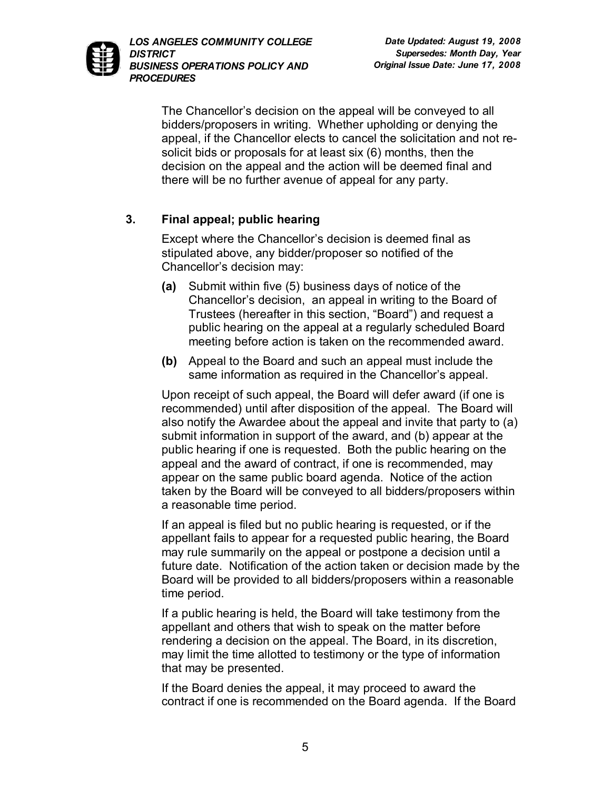The Chancellor's decision on the appeal will be conveyed to all bidders/proposers in writing. Whether upholding or denying the appeal, if the Chancellor elects to cancel the solicitation and not resolicit bids or proposals for at least six (6) months, then the decision on the appeal and the action will be deemed final and there will be no further avenue of appeal for any party.

## **3. Final appeal; public hearing**

Except where the Chancellor's decision is deemed final as stipulated above, any bidder/proposer so notified of the Chancellor's decision may:

- **(a)** Submit within five (5) business days of notice of the Chancellor's decision, an appeal in writing to the Board of Trustees (hereafter in this section, "Board") and request a public hearing on the appeal at a regularly scheduled Board meeting before action is taken on the recommended award.
- **(b)** Appeal to the Board and such an appeal must include the same information as required in the Chancellor's appeal.

Upon receipt of such appeal, the Board will defer award (if one is recommended) until after disposition of the appeal. The Board will also notify the Awardee about the appeal and invite that party to (a) submit information in support of the award, and (b) appear at the public hearing if one is requested. Both the public hearing on the appeal and the award of contract, if one is recommended, may appear on the same public board agenda. Notice of the action taken by the Board will be conveyed to all bidders/proposers within a reasonable time period.

If an appeal is filed but no public hearing is requested, or if the appellant fails to appear for a requested public hearing, the Board may rule summarily on the appeal or postpone a decision until a future date. Notification of the action taken or decision made by the Board will be provided to all bidders/proposers within a reasonable time period.

If a public hearing is held, the Board will take testimony from the appellant and others that wish to speak on the matter before rendering a decision on the appeal. The Board, in its discretion, may limit the time allotted to testimony or the type of information that may be presented.

If the Board denies the appeal, it may proceed to award the contract if one is recommended on the Board agenda. If the Board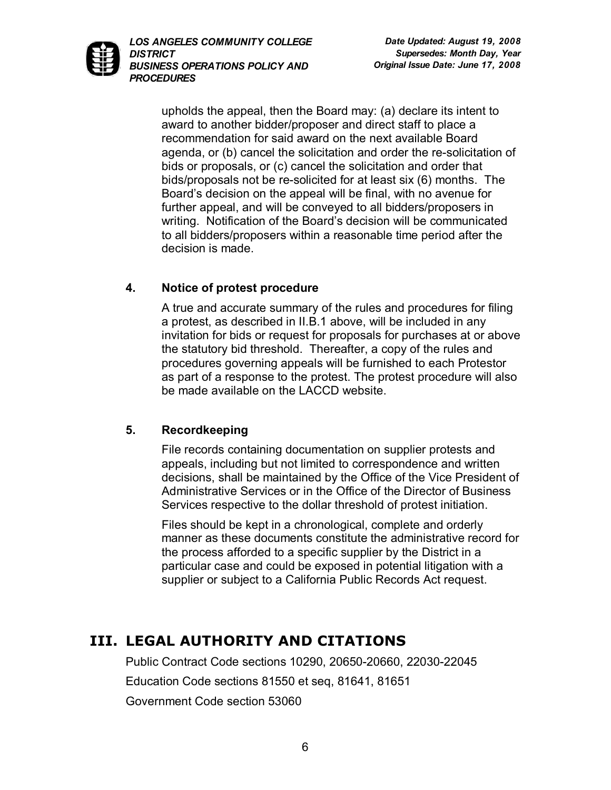

upholds the appeal, then the Board may: (a) declare its intent to award to another bidder/proposer and direct staff to place a recommendation for said award on the next available Board agenda, or (b) cancel the solicitation and order the re-solicitation of bids or proposals, or (c) cancel the solicitation and order that bids/proposals not be re-solicited for at least six (6) months. The Board's decision on the appeal will be final, with no avenue for further appeal, and will be conveyed to all bidders/proposers in writing. Notification of the Board's decision will be communicated to all bidders/proposers within a reasonable time period after the decision is made.

## **4. Notice of protest procedure**

A true and accurate summary of the rules and procedures for filing a protest, as described in II.B.1 above, will be included in any invitation for bids or request for proposals for purchases at or above the statutory bid threshold. Thereafter, a copy of the rules and procedures governing appeals will be furnished to each Protestor as part of a response to the protest. The protest procedure will also be made available on the LACCD website.

### **5. Recordkeeping**

File records containing documentation on supplier protests and appeals, including but not limited to correspondence and written decisions, shall be maintained by the Office of the Vice President of Administrative Services or in the Office of the Director of Business Services respective to the dollar threshold of protest initiation.

Files should be kept in a chronological, complete and orderly manner as these documents constitute the administrative record for the process afforded to a specific supplier by the District in a particular case and could be exposed in potential litigation with a supplier or subject to a California Public Records Act request.

# **III. LEGAL AUTHORITY AND CITATIONS**

Public Contract Code sections 10290, 20650-20660, 22030-22045 Education Code sections 81550 et seq, 81641, 81651 Government Code section 53060